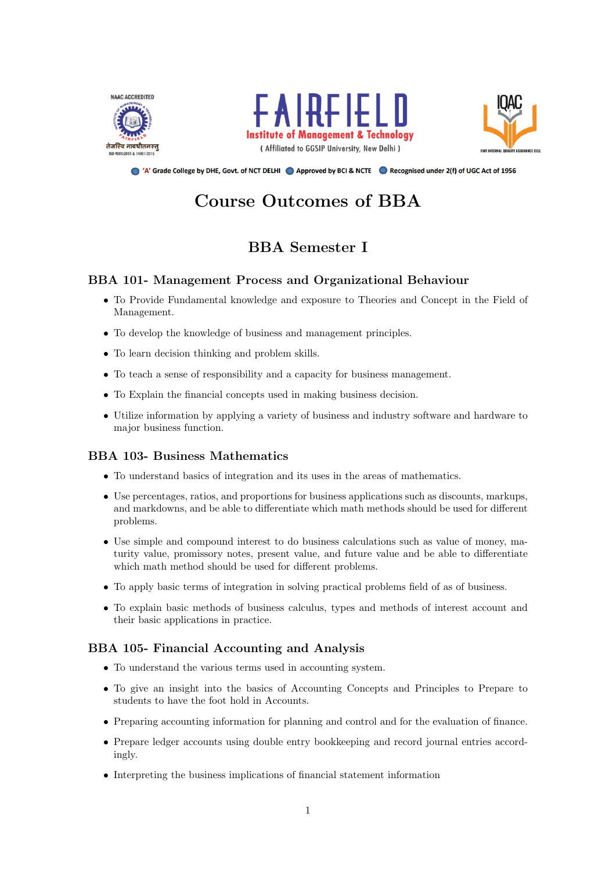





A' Grade College by DHE, Govt. of NCT DELHI Approved by BCI & NCTE A Recognised under 2(f) of UGC Act of 1956

# Course Outcomes of BBA

# BBA Semester I

# BBA 101- Management Process and Organizational Behaviour

- To Provide Fundamental knowledge and exposure to Theories and Concept in the Field of Management.
- To develop the knowledge of business and management principles.
- To learn decision thinking and problem skills.
- To teach a sense of responsibility and a capacity for business management.
- To Explain the financial concepts used in making business decision.
- Utilize information by applying a variety of business and industry software and hardware to major business function.

### BBA 103- Business Mathematics

- To understand basics of integration and its uses in the areas of mathematics.
- Use percentages, ratios, and proportions for business applications such as discounts, markups, and markdowns, and be able to differentiate which math methods should be used for different problems.
- Use simple and compound interest to do business calculations such as value of money, maturity value, promissory notes, present value, and future value and be able to differentiate which math method should be used for different problems.
- To apply basic terms of integration in solving practical problems field of as of business.
- To explain basic methods of business calculus, types and methods of interest account and their basic applications in practice.

### BBA 105- Financial Accounting and Analysis

- To understand the various terms used in accounting system.
- To give an insight into the basics of Accounting Concepts and Principles to Prepare to students to have the foot hold in Accounts.
- Preparing accounting information for planning and control and for the evaluation of finance.
- Prepare ledger accounts using double entry bookkeeping and record journal entries accordingly.
- Interpreting the business implications of financial statement information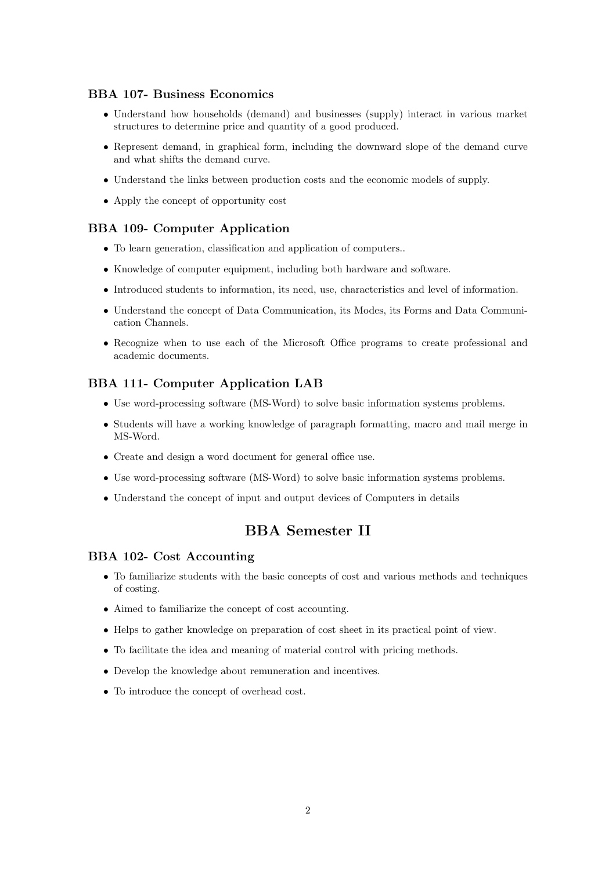#### BBA 107- Business Economics

- Understand how households (demand) and businesses (supply) interact in various market structures to determine price and quantity of a good produced.
- Represent demand, in graphical form, including the downward slope of the demand curve and what shifts the demand curve.
- Understand the links between production costs and the economic models of supply.
- Apply the concept of opportunity cost

#### BBA 109- Computer Application

- To learn generation, classification and application of computers..
- Knowledge of computer equipment, including both hardware and software.
- Introduced students to information, its need, use, characteristics and level of information.
- Understand the concept of Data Communication, its Modes, its Forms and Data Communication Channels.
- Recognize when to use each of the Microsoft Office programs to create professional and academic documents.

# BBA 111- Computer Application LAB

- Use word-processing software (MS-Word) to solve basic information systems problems.
- Students will have a working knowledge of paragraph formatting, macro and mail merge in MS-Word.
- Create and design a word document for general office use.
- Use word-processing software (MS-Word) to solve basic information systems problems.
- Understand the concept of input and output devices of Computers in details

# BBA Semester II

#### BBA 102- Cost Accounting

- To familiarize students with the basic concepts of cost and various methods and techniques of costing.
- Aimed to familiarize the concept of cost accounting.
- Helps to gather knowledge on preparation of cost sheet in its practical point of view.
- To facilitate the idea and meaning of material control with pricing methods.
- Develop the knowledge about remuneration and incentives.
- To introduce the concept of overhead cost.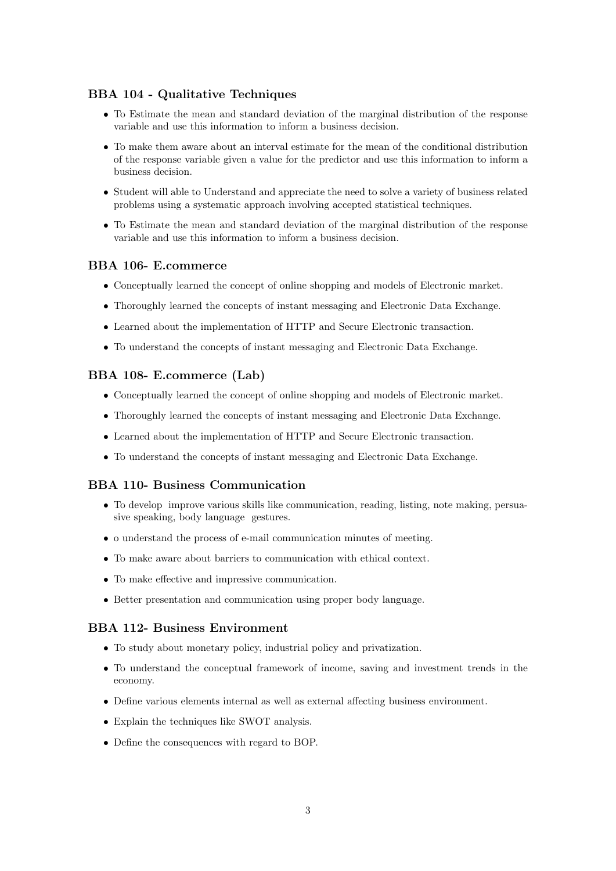## BBA 104 - Qualitative Techniques

- To Estimate the mean and standard deviation of the marginal distribution of the response variable and use this information to inform a business decision.
- To make them aware about an interval estimate for the mean of the conditional distribution of the response variable given a value for the predictor and use this information to inform a business decision.
- Student will able to Understand and appreciate the need to solve a variety of business related problems using a systematic approach involving accepted statistical techniques.
- To Estimate the mean and standard deviation of the marginal distribution of the response variable and use this information to inform a business decision.

# BBA 106- E.commerce

- Conceptually learned the concept of online shopping and models of Electronic market.
- Thoroughly learned the concepts of instant messaging and Electronic Data Exchange.
- Learned about the implementation of HTTP and Secure Electronic transaction.
- To understand the concepts of instant messaging and Electronic Data Exchange.

#### BBA 108- E.commerce (Lab)

- Conceptually learned the concept of online shopping and models of Electronic market.
- Thoroughly learned the concepts of instant messaging and Electronic Data Exchange.
- Learned about the implementation of HTTP and Secure Electronic transaction.
- To understand the concepts of instant messaging and Electronic Data Exchange.

### BBA 110- Business Communication

- To develop improve various skills like communication, reading, listing, note making, persuasive speaking, body language gestures.
- o understand the process of e-mail communication minutes of meeting.
- To make aware about barriers to communication with ethical context.
- To make effective and impressive communication.
- Better presentation and communication using proper body language.

#### BBA 112- Business Environment

- To study about monetary policy, industrial policy and privatization.
- To understand the conceptual framework of income, saving and investment trends in the economy.
- Define various elements internal as well as external affecting business environment.
- Explain the techniques like SWOT analysis.
- Define the consequences with regard to BOP.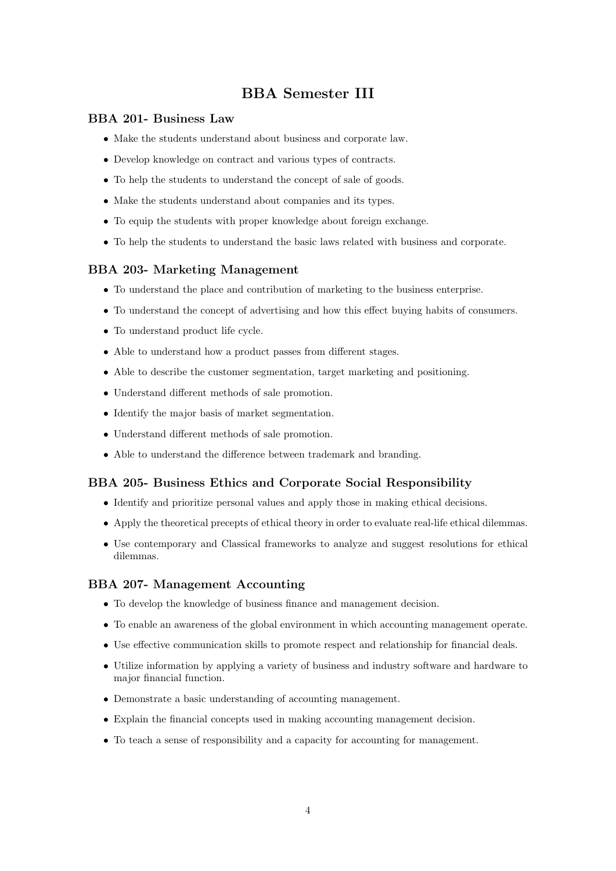# BBA Semester III

#### BBA 201- Business Law

- Make the students understand about business and corporate law.
- Develop knowledge on contract and various types of contracts.
- To help the students to understand the concept of sale of goods.
- Make the students understand about companies and its types.
- To equip the students with proper knowledge about foreign exchange.
- To help the students to understand the basic laws related with business and corporate.

#### BBA 203- Marketing Management

- To understand the place and contribution of marketing to the business enterprise.
- To understand the concept of advertising and how this effect buying habits of consumers.
- To understand product life cycle.
- Able to understand how a product passes from different stages.
- Able to describe the customer segmentation, target marketing and positioning.
- Understand different methods of sale promotion.
- Identify the major basis of market segmentation.
- Understand different methods of sale promotion.
- Able to understand the difference between trademark and branding.

#### BBA 205- Business Ethics and Corporate Social Responsibility

- Identify and prioritize personal values and apply those in making ethical decisions.
- Apply the theoretical precepts of ethical theory in order to evaluate real-life ethical dilemmas.
- Use contemporary and Classical frameworks to analyze and suggest resolutions for ethical dilemmas.

#### BBA 207- Management Accounting

- To develop the knowledge of business finance and management decision.
- To enable an awareness of the global environment in which accounting management operate.
- Use effective communication skills to promote respect and relationship for financial deals.
- Utilize information by applying a variety of business and industry software and hardware to major financial function.
- Demonstrate a basic understanding of accounting management.
- Explain the financial concepts used in making accounting management decision.
- To teach a sense of responsibility and a capacity for accounting for management.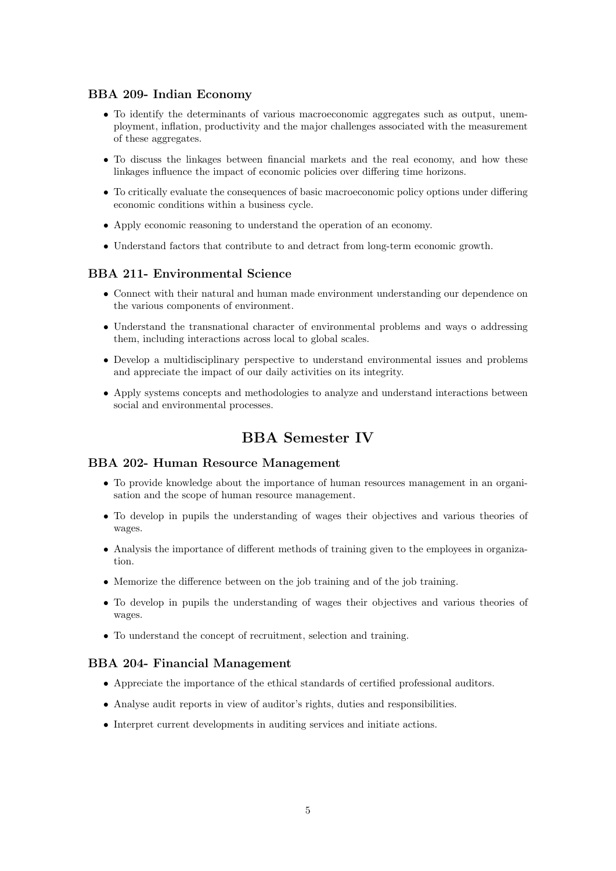#### BBA 209- Indian Economy

- To identify the determinants of various macroeconomic aggregates such as output, unemployment, inflation, productivity and the major challenges associated with the measurement of these aggregates.
- To discuss the linkages between financial markets and the real economy, and how these linkages influence the impact of economic policies over differing time horizons.
- To critically evaluate the consequences of basic macroeconomic policy options under differing economic conditions within a business cycle.
- Apply economic reasoning to understand the operation of an economy.
- Understand factors that contribute to and detract from long-term economic growth.

#### BBA 211- Environmental Science

- Connect with their natural and human made environment understanding our dependence on the various components of environment.
- Understand the transnational character of environmental problems and ways o addressing them, including interactions across local to global scales.
- Develop a multidisciplinary perspective to understand environmental issues and problems and appreciate the impact of our daily activities on its integrity.
- Apply systems concepts and methodologies to analyze and understand interactions between social and environmental processes.

# BBA Semester IV

#### BBA 202- Human Resource Management

- To provide knowledge about the importance of human resources management in an organisation and the scope of human resource management.
- To develop in pupils the understanding of wages their objectives and various theories of wages.
- Analysis the importance of different methods of training given to the employees in organization.
- Memorize the difference between on the job training and of the job training.
- To develop in pupils the understanding of wages their objectives and various theories of wages.
- To understand the concept of recruitment, selection and training.

#### BBA 204- Financial Management

- Appreciate the importance of the ethical standards of certified professional auditors.
- Analyse audit reports in view of auditor's rights, duties and responsibilities.
- Interpret current developments in auditing services and initiate actions.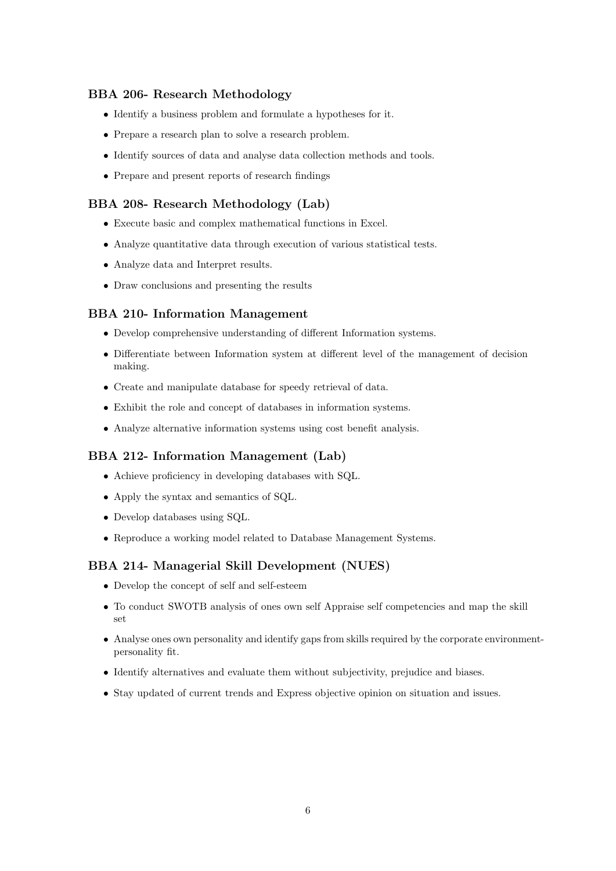# BBA 206- Research Methodology

- Identify a business problem and formulate a hypotheses for it.
- Prepare a research plan to solve a research problem.
- Identify sources of data and analyse data collection methods and tools.
- Prepare and present reports of research findings

## BBA 208- Research Methodology (Lab)

- Execute basic and complex mathematical functions in Excel.
- Analyze quantitative data through execution of various statistical tests.
- Analyze data and Interpret results.
- Draw conclusions and presenting the results

### BBA 210- Information Management

- Develop comprehensive understanding of different Information systems.
- Differentiate between Information system at different level of the management of decision making.
- Create and manipulate database for speedy retrieval of data.
- Exhibit the role and concept of databases in information systems.
- Analyze alternative information systems using cost benefit analysis.

### BBA 212- Information Management (Lab)

- Achieve proficiency in developing databases with SQL.
- Apply the syntax and semantics of SQL.
- Develop databases using SQL.
- Reproduce a working model related to Database Management Systems.

# BBA 214- Managerial Skill Development (NUES)

- Develop the concept of self and self-esteem
- To conduct SWOTB analysis of ones own self Appraise self competencies and map the skill set
- Analyse ones own personality and identify gaps from skills required by the corporate environmentpersonality fit.
- Identify alternatives and evaluate them without subjectivity, prejudice and biases.
- Stay updated of current trends and Express objective opinion on situation and issues.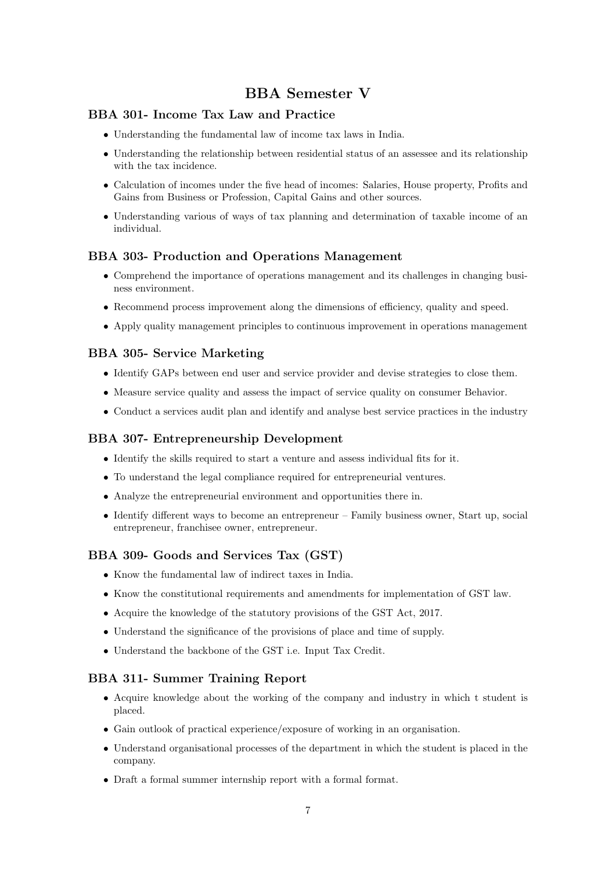# BBA Semester V

# BBA 301- Income Tax Law and Practice

- Understanding the fundamental law of income tax laws in India.
- Understanding the relationship between residential status of an assessee and its relationship with the tax incidence.
- Calculation of incomes under the five head of incomes: Salaries, House property, Profits and Gains from Business or Profession, Capital Gains and other sources.
- Understanding various of ways of tax planning and determination of taxable income of an individual.

#### BBA 303- Production and Operations Management

- Comprehend the importance of operations management and its challenges in changing business environment.
- Recommend process improvement along the dimensions of efficiency, quality and speed.
- Apply quality management principles to continuous improvement in operations management

#### BBA 305- Service Marketing

- Identify GAPs between end user and service provider and devise strategies to close them.
- Measure service quality and assess the impact of service quality on consumer Behavior.
- Conduct a services audit plan and identify and analyse best service practices in the industry

#### BBA 307- Entrepreneurship Development

- Identify the skills required to start a venture and assess individual fits for it.
- To understand the legal compliance required for entrepreneurial ventures.
- Analyze the entrepreneurial environment and opportunities there in.
- Identify different ways to become an entrepreneur Family business owner, Start up, social entrepreneur, franchisee owner, entrepreneur.

#### BBA 309- Goods and Services Tax (GST)

- Know the fundamental law of indirect taxes in India.
- Know the constitutional requirements and amendments for implementation of GST law.
- Acquire the knowledge of the statutory provisions of the GST Act, 2017.
- Understand the significance of the provisions of place and time of supply.
- Understand the backbone of the GST i.e. Input Tax Credit.

#### BBA 311- Summer Training Report

- Acquire knowledge about the working of the company and industry in which t student is placed.
- Gain outlook of practical experience/exposure of working in an organisation.
- Understand organisational processes of the department in which the student is placed in the company.
- Draft a formal summer internship report with a formal format.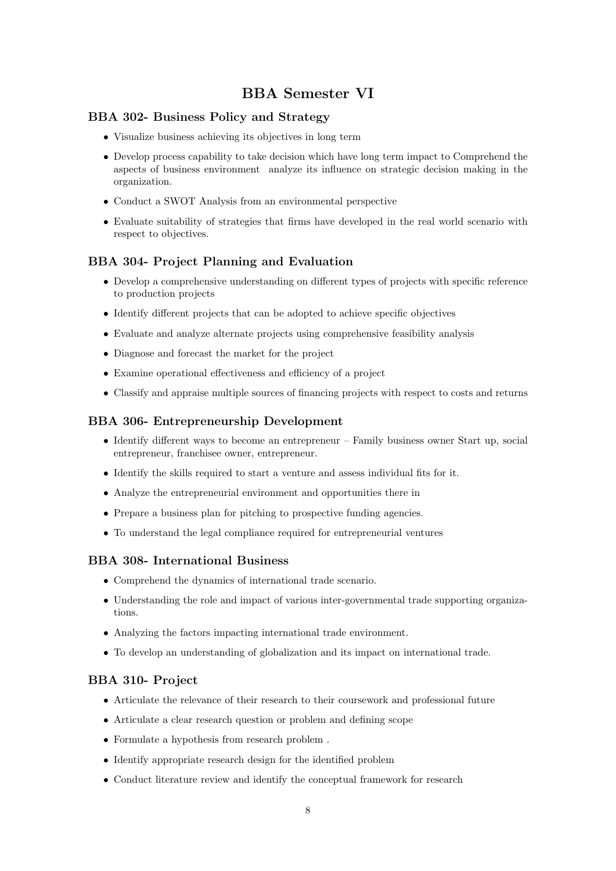# BBA Semester VI

# BBA 302- Business Policy and Strategy

- Visualize business achieving its objectives in long term
- Develop process capability to take decision which have long term impact to Comprehend the aspects of business environment analyze its influence on strategic decision making in the organization.
- Conduct a SWOT Analysis from an environmental perspective
- Evaluate suitability of strategies that firms have developed in the real world scenario with respect to objectives.

### BBA 304- Project Planning and Evaluation

- Develop a comprehensive understanding on different types of projects with specific reference to production projects
- Identify different projects that can be adopted to achieve specific objectives
- Evaluate and analyze alternate projects using comprehensive feasibility analysis
- Diagnose and forecast the market for the project
- Examine operational effectiveness and efficiency of a project
- Classify and appraise multiple sources of financing projects with respect to costs and returns

#### BBA 306- Entrepreneurship Development

- Identify different ways to become an entrepreneur Family business owner Start up, social entrepreneur, franchisee owner, entrepreneur.
- Identify the skills required to start a venture and assess individual fits for it.
- Analyze the entrepreneurial environment and opportunities there in
- Prepare a business plan for pitching to prospective funding agencies.
- To understand the legal compliance required for entrepreneurial ventures

### BBA 308- International Business

- Comprehend the dynamics of international trade scenario.
- Understanding the role and impact of various inter-governmental trade supporting organizations.
- Analyzing the factors impacting international trade environment.
- To develop an understanding of globalization and its impact on international trade.

#### BBA 310- Project

- Articulate the relevance of their research to their coursework and professional future
- Articulate a clear research question or problem and defining scope
- Formulate a hypothesis from research problem .
- Identify appropriate research design for the identified problem
- Conduct literature review and identify the conceptual framework for research